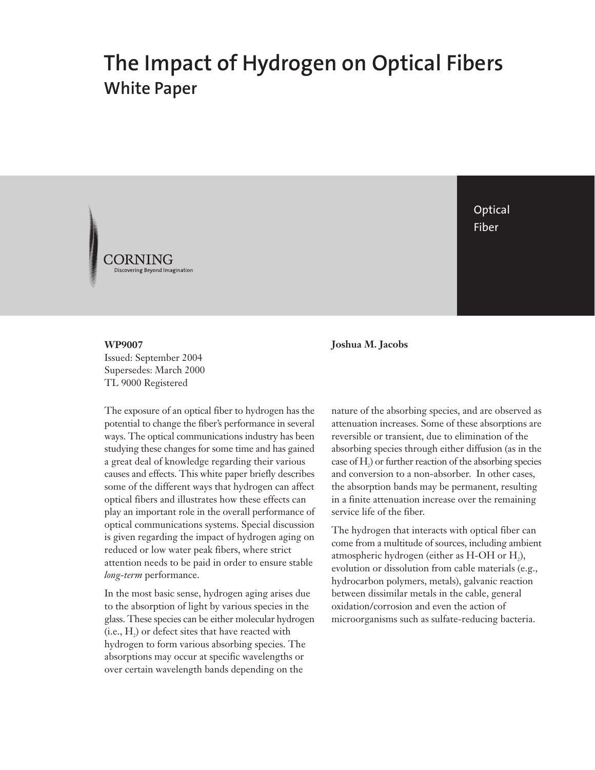# **The Impact of Hydrogen on Optical Fibers White Paper**



**Optical** Fiber

**WP9007** Issued: September 2004 Supersedes: March 2000 TL 9000 Registered

The exposure of an optical fiber to hydrogen has the potential to change the fiber's performance in several ways. The optical communications industry has been studying these changes for some time and has gained a great deal of knowledge regarding their various causes and effects. This white paper briefly describes some of the different ways that hydrogen can affect optical fibers and illustrates how these effects can play an important role in the overall performance of optical communications systems. Special discussion is given regarding the impact of hydrogen aging on reduced or low water peak fibers, where strict attention needs to be paid in order to ensure stable *long-term* performance.

In the most basic sense, hydrogen aging arises due to the absorption of light by various species in the glass. These species can be either molecular hydrogen  $(i.e., H<sub>2</sub>)$  or defect sites that have reacted with hydrogen to form various absorbing species. The absorptions may occur at specific wavelengths or over certain wavelength bands depending on the

**Joshua M. Jacobs**

nature of the absorbing species, and are observed as attenuation increases. Some of these absorptions are reversible or transient, due to elimination of the absorbing species through either diffusion (as in the case of  $\rm H_{2}$ ) or further reaction of the absorbing species and conversion to a non-absorber. In other cases, the absorption bands may be permanent, resulting in a finite attenuation increase over the remaining service life of the fiber.

The hydrogen that interacts with optical fiber can come from a multitude of sources, including ambient atmospheric hydrogen (either as  $H$ -OH or  $H<sub>2</sub>$ ), evolution or dissolution from cable materials (e.g., hydrocarbon polymers, metals), galvanic reaction between dissimilar metals in the cable, general oxidation/corrosion and even the action of microorganisms such as sulfate-reducing bacteria.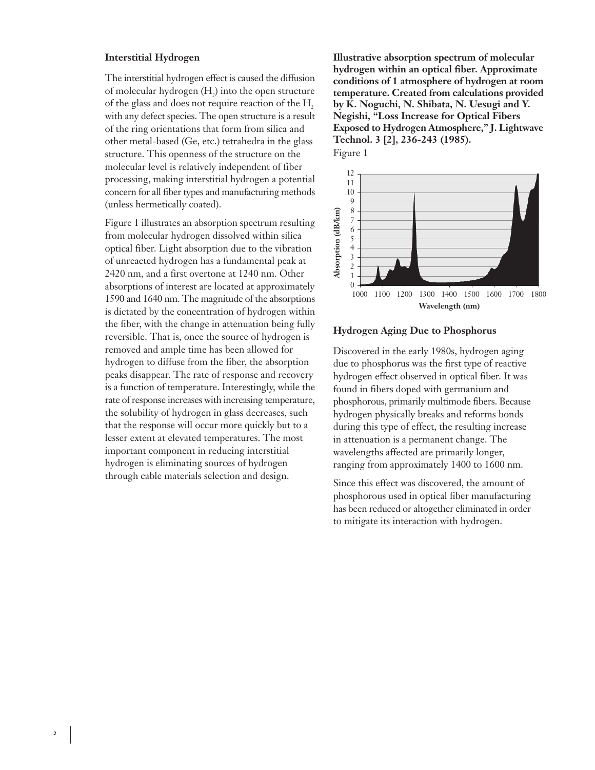## **Interstitial Hydrogen**

The interstitial hydrogen effect is caused the diffusion of molecular hydrogen (H<sub>2</sub>) into the open structure of the glass and does not require reaction of the H, with any defect species. The open structure is a result of the ring orientations that form from silica and other metal-based (Ge, etc.) tetrahedra in the glass structure. This openness of the structure on the molecular level is relatively independent of fiber processing, making interstitial hydrogen a potential concern for all fiber types and manufacturing methods (unless hermetically coated).

Figure 1 illustrates an absorption spectrum resulting from molecular hydrogen dissolved within silica optical fiber. Light absorption due to the vibration of unreacted hydrogen has a fundamental peak at 2420 nm, and a first overtone at 1240 nm. Other absorptions of interest are located at approximately 1590 and 1640 nm. The magnitude of the absorptions is dictated by the concentration of hydrogen within the fiber, with the change in attenuation being fully reversible. That is, once the source of hydrogen is removed and ample time has been allowed for hydrogen to diffuse from the fiber, the absorption peaks disappear. The rate of response and recovery is a function of temperature. Interestingly, while the rate of response increases with increasing temperature, the solubility of hydrogen in glass decreases, such that the response will occur more quickly but to a lesser extent at elevated temperatures. The most important component in reducing interstitial hydrogen is eliminating sources of hydrogen through cable materials selection and design.

**Illustrative absorption spectrum of molecular hydrogen within an optical fiber. Approximate conditions of 1 atmosphere of hydrogen at room temperature. Created from calculations provided by K. Noguchi, N. Shibata, N. Uesugi and Y. Negishi, "Loss Increase for Optical Fibers Exposed to Hydrogen Atmosphere," J. Lightwave Technol. 3 [2], 236-243 (1985).** Figure 1



#### **Hydrogen Aging Due to Phosphorus**

Discovered in the early 1980s, hydrogen aging due to phosphorus was the first type of reactive hydrogen effect observed in optical fiber. It was found in fibers doped with germanium and phosphorous, primarily multimode fibers. Because hydrogen physically breaks and reforms bonds during this type of effect, the resulting increase in attenuation is a permanent change. The wavelengths affected are primarily longer, ranging from approximately 1400 to 1600 nm.

Since this effect was discovered, the amount of phosphorous used in optical fiber manufacturing has been reduced or altogether eliminated in order to mitigate its interaction with hydrogen.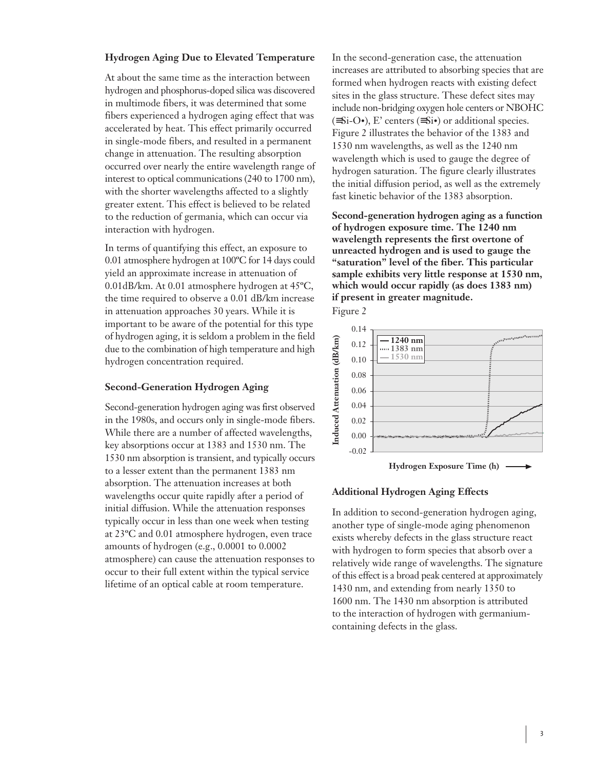# **Hydrogen Aging Due to Elevated Temperature**

At about the same time as the interaction between hydrogen and phosphorus-doped silica was discovered in multimode fibers, it was determined that some fibers experienced a hydrogen aging effect that was accelerated by heat. This effect primarily occurred in single-mode fibers, and resulted in a permanent change in attenuation. The resulting absorption occurred over nearly the entire wavelength range of interest to optical communications (240 to 1700 nm), with the shorter wavelengths affected to a slightly greater extent. This effect is believed to be related to the reduction of germania, which can occur via interaction with hydrogen.

In terms of quantifying this effect, an exposure to 0.01 atmosphere hydrogen at 100ºC for 14 days could yield an approximate increase in attenuation of 0.01dB/km. At 0.01 atmosphere hydrogen at 45ºC, the time required to observe a 0.01 dB/km increase in attenuation approaches 30 years. While it is important to be aware of the potential for this type of hydrogen aging, it is seldom a problem in the field due to the combination of high temperature and high hydrogen concentration required.

## **Second-Generation Hydrogen Aging**

Second-generation hydrogen aging was first observed in the 1980s, and occurs only in single-mode fibers. While there are a number of affected wavelengths, key absorptions occur at 1383 and 1530 nm. The 1530 nm absorption is transient, and typically occurs to a lesser extent than the permanent 1383 nm absorption. The attenuation increases at both wavelengths occur quite rapidly after a period of initial diffusion. While the attenuation responses typically occur in less than one week when testing at 23ºC and 0.01 atmosphere hydrogen, even trace amounts of hydrogen (e.g., 0.0001 to 0.0002 atmosphere) can cause the attenuation responses to occur to their full extent within the typical service lifetime of an optical cable at room temperature.

In the second-generation case, the attenuation increases are attributed to absorbing species that are formed when hydrogen reacts with existing defect sites in the glass structure. These defect sites may include non-bridging oxygen hole centers or NBOHC  $(\equiv S_i-O\bullet)$ , E' centers  $(\equiv S_i\bullet)$  or additional species. Figure 2 illustrates the behavior of the 1383 and 1530 nm wavelengths, as well as the 1240 nm wavelength which is used to gauge the degree of hydrogen saturation. The figure clearly illustrates the initial diffusion period, as well as the extremely fast kinetic behavior of the 1383 absorption.

**Second-generation hydrogen aging as a function of hydrogen exposure time. The 1240 nm wavelength represents the first overtone of unreacted hydrogen and is used to gauge the "saturation" level of the fiber. This particular sample exhibits very little response at 1530 nm, which would occur rapidly (as does 1383 nm) if present in greater magnitude.**





#### **Additional Hydrogen Aging Effects**

In addition to second-generation hydrogen aging, another type of single-mode aging phenomenon exists whereby defects in the glass structure react with hydrogen to form species that absorb over a relatively wide range of wavelengths. The signature of this effect is a broad peak centered at approximately 1430 nm, and extending from nearly 1350 to 1600 nm. The 1430 nm absorption is attributed to the interaction of hydrogen with germaniumcontaining defects in the glass.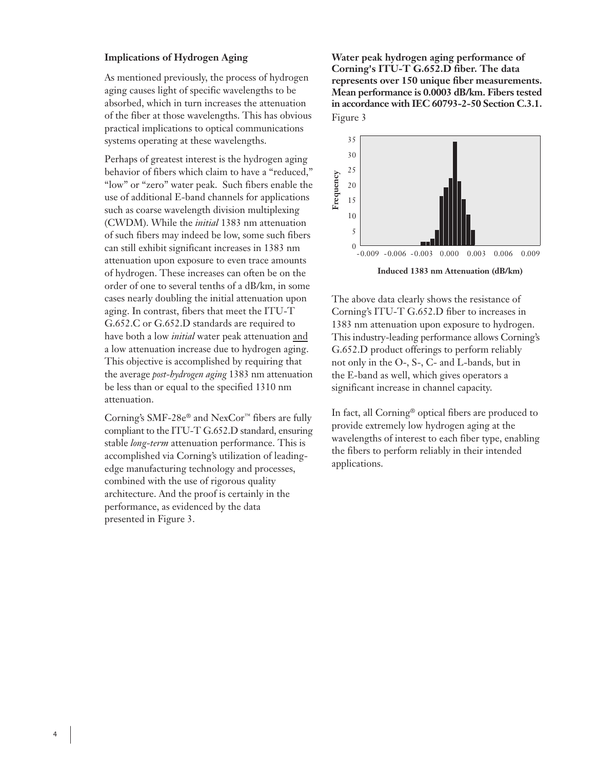# **Implications of Hydrogen Aging**

As mentioned previously, the process of hydrogen aging causes light of specific wavelengths to be absorbed, which in turn increases the attenuation of the fiber at those wavelengths. This has obvious practical implications to optical communications systems operating at these wavelengths.

Perhaps of greatest interest is the hydrogen aging behavior of fibers which claim to have a "reduced," "low" or "zero" water peak. Such fibers enable the use of additional E-band channels for applications such as coarse wavelength division multiplexing (CWDM). While the *initial* 1383 nm attenuation of such fibers may indeed be low, some such fibers can still exhibit significant increases in 1383 nm attenuation upon exposure to even trace amounts of hydrogen. These increases can often be on the order of one to several tenths of a dB/km, in some cases nearly doubling the initial attenuation upon aging. In contrast, fibers that meet the ITU-T G.652.C or G.652.D standards are required to have both a low *initial* water peak attenuation and a low attenuation increase due to hydrogen aging. This objective is accomplished by requiring that the average *post-hydrogen aging* 1383 nm attenuation be less than or equal to the specified 1310 nm attenuation.

Corning's SMF-28e® and NexCor™ fibers are fully compliant to the ITU-T G.652.D standard, ensuring stable *long-term* attenuation performance. This is accomplished via Corning's utilization of leadingedge manufacturing technology and processes, combined with the use of rigorous quality architecture. And the proof is certainly in the performance, as evidenced by the data presented in Figure 3.

**Water peak hydrogen aging performance of Corning's ITU-T G.652.D fiber. The data represents over 150 unique fiber measurements. Mean performance is 0.0003 dB/km. Fibers tested in accordance with IEC 60793-2-50 Section C.3.1.** Figure 3



The above data clearly shows the resistance of Corning's ITU-T G.652.D fiber to increases in 1383 nm attenuation upon exposure to hydrogen. This industry-leading performance allows Corning's G.652.D product offerings to perform reliably not only in the O-, S-, C- and L-bands, but in the E-band as well, which gives operators a significant increase in channel capacity.

In fact, all Corning® optical fibers are produced to provide extremely low hydrogen aging at the wavelengths of interest to each fiber type, enabling the fibers to perform reliably in their intended applications.